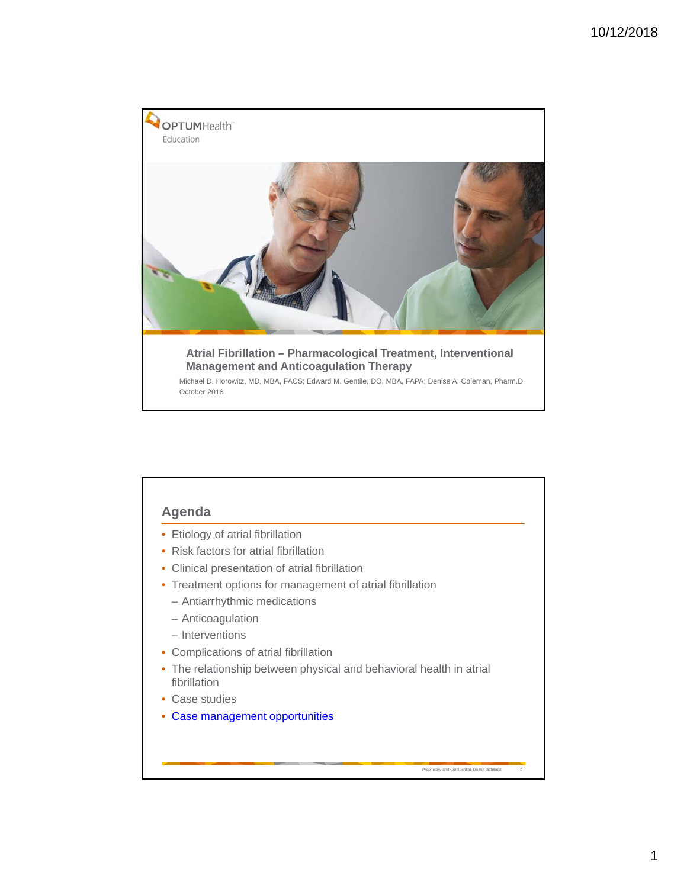

# **Agenda**

- Etiology of atrial fibrillation
- Risk factors for atrial fibrillation
- Clinical presentation of atrial fibrillation
- Treatment options for management of atrial fibrillation
	- Antiarrhythmic medications
	- Anticoagulation
	- Interventions
- Complications of atrial fibrillation
- The relationship between physical and behavioral health in atrial fibrillation

Proprietary and Confidential. Do not distribute. **2**

- Case studies
- Case management opportunities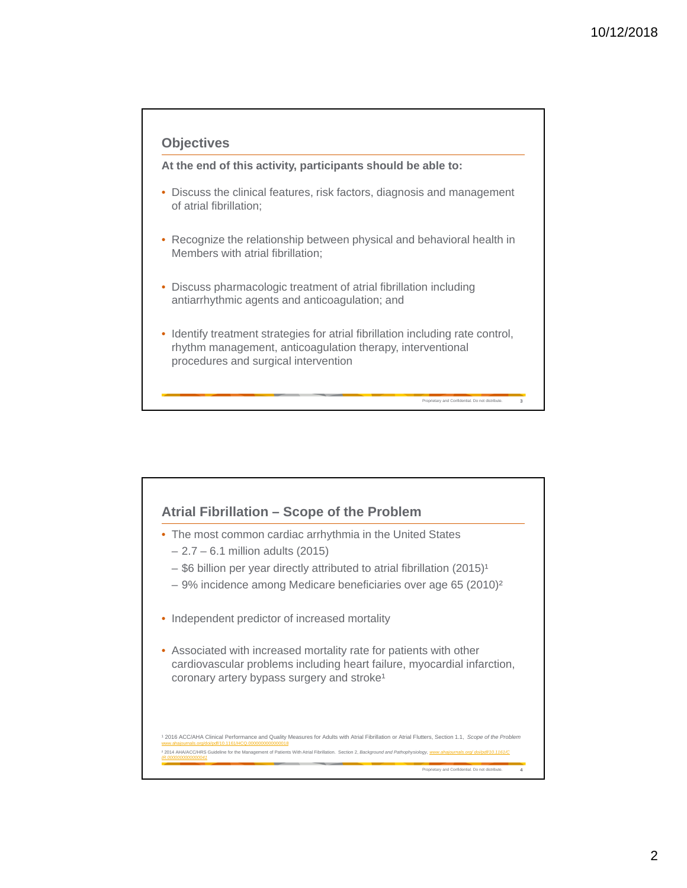

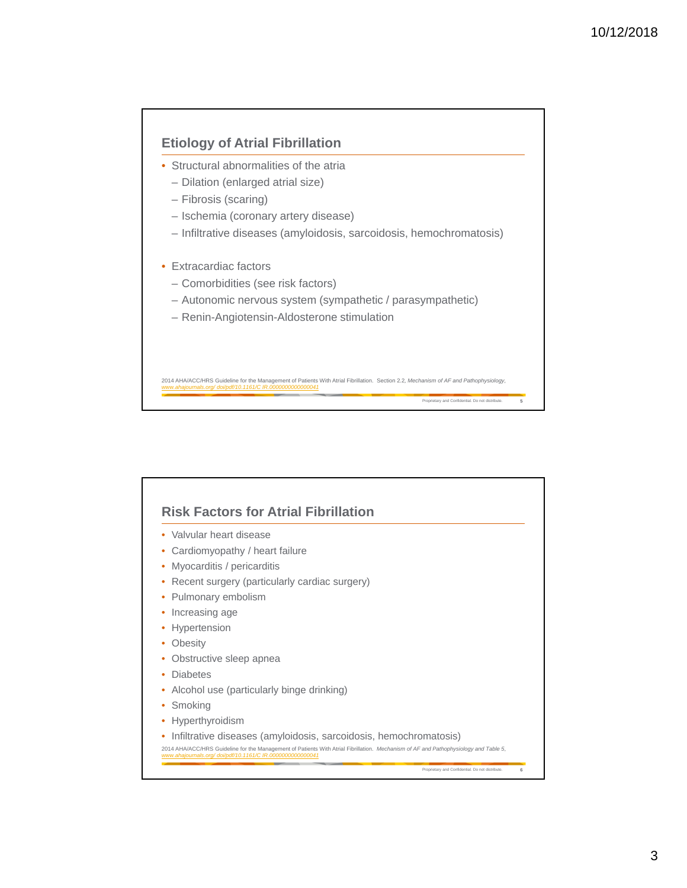

| Cardiomyopathy / heart failure<br>Myocarditis / pericarditis<br>Recent surgery (particularly cardiac surgery)<br>Pulmonary embolism<br>Increasing age<br>۰<br>Hypertension<br>Obesity<br>Obstructive sleep apnea<br><b>Diabetes</b><br>Alcohol use (particularly binge drinking)<br>Smoking<br>Hyperthyroidism<br>Infiltrative diseases (amyloidosis, sarcoidosis, hemochromatosis) | Valvular heart disease |  |
|-------------------------------------------------------------------------------------------------------------------------------------------------------------------------------------------------------------------------------------------------------------------------------------------------------------------------------------------------------------------------------------|------------------------|--|
|                                                                                                                                                                                                                                                                                                                                                                                     |                        |  |
|                                                                                                                                                                                                                                                                                                                                                                                     |                        |  |
|                                                                                                                                                                                                                                                                                                                                                                                     |                        |  |
|                                                                                                                                                                                                                                                                                                                                                                                     |                        |  |
|                                                                                                                                                                                                                                                                                                                                                                                     |                        |  |
|                                                                                                                                                                                                                                                                                                                                                                                     |                        |  |
|                                                                                                                                                                                                                                                                                                                                                                                     |                        |  |
|                                                                                                                                                                                                                                                                                                                                                                                     |                        |  |
|                                                                                                                                                                                                                                                                                                                                                                                     |                        |  |
|                                                                                                                                                                                                                                                                                                                                                                                     |                        |  |
|                                                                                                                                                                                                                                                                                                                                                                                     |                        |  |
|                                                                                                                                                                                                                                                                                                                                                                                     |                        |  |
|                                                                                                                                                                                                                                                                                                                                                                                     |                        |  |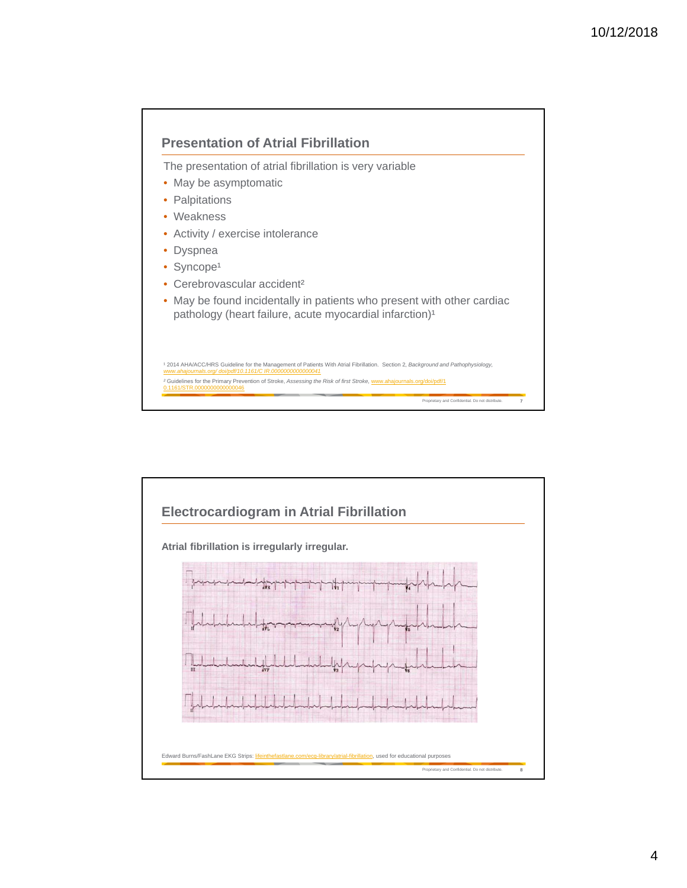

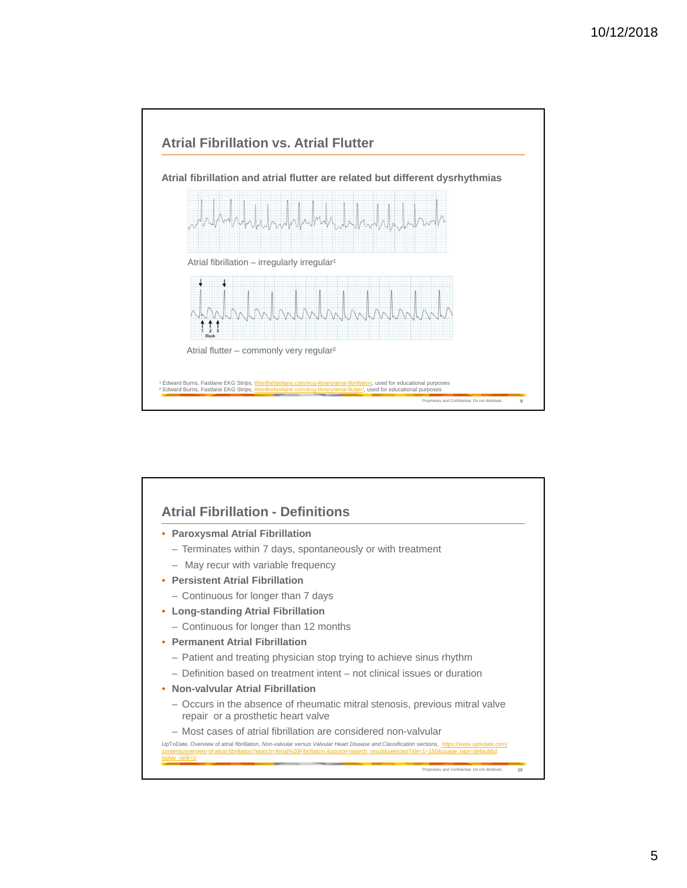

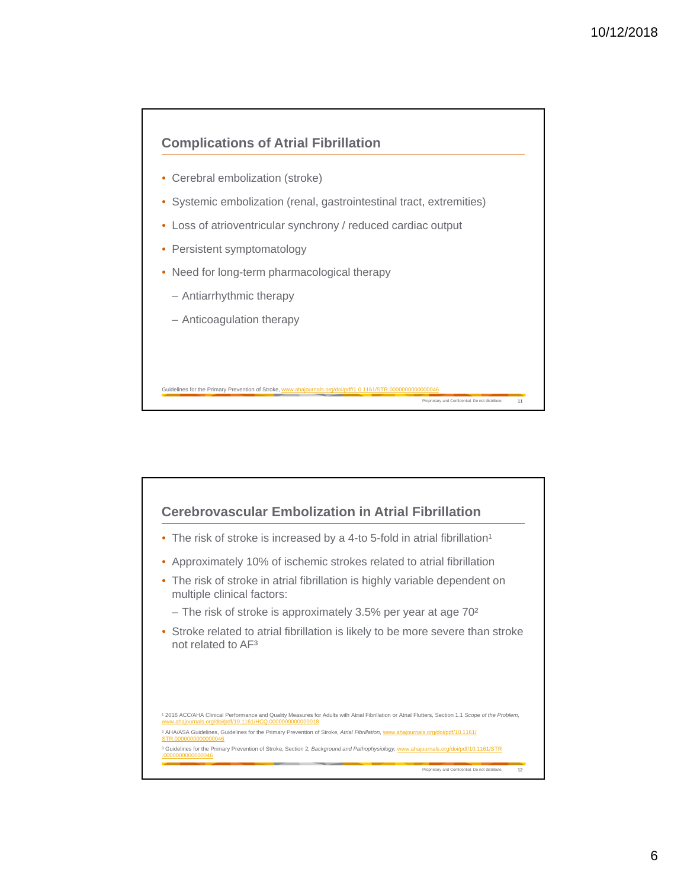

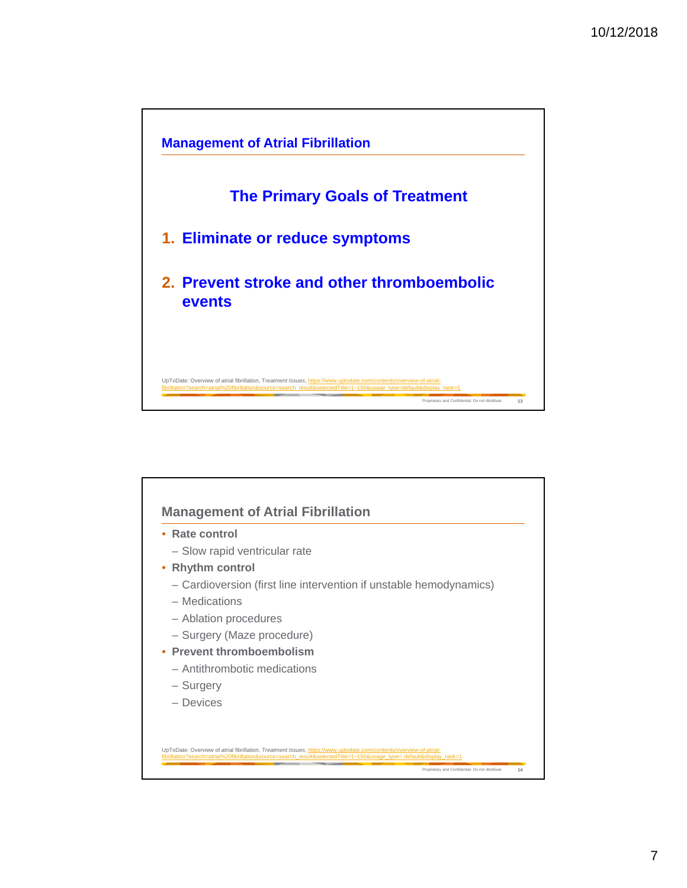

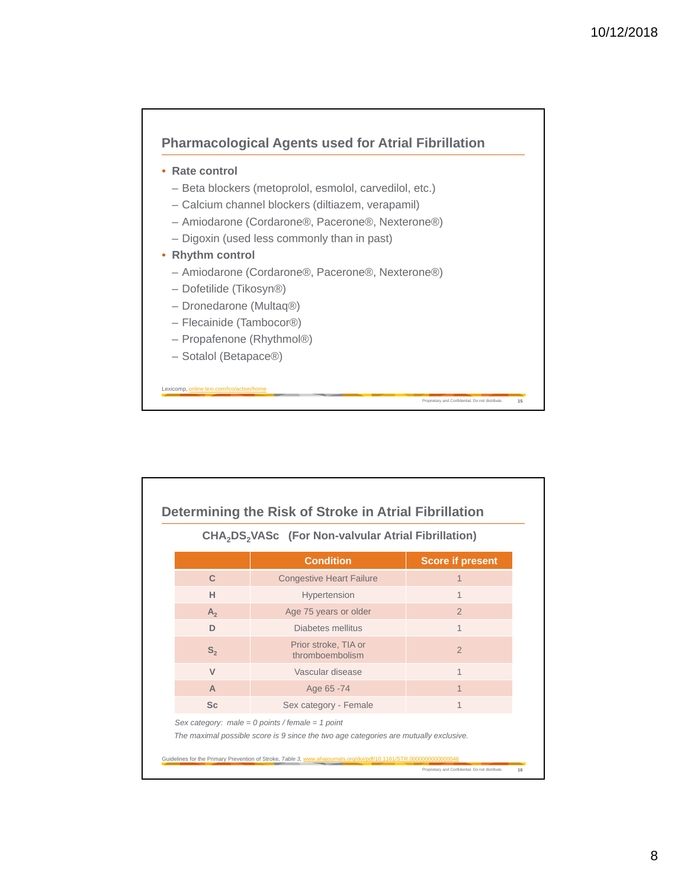

| CHA <sub>2</sub> DS <sub>2</sub> VASc (For Non-valvular Atrial Fibrillation) |                                                  |                         |  |  |  |  |
|------------------------------------------------------------------------------|--------------------------------------------------|-------------------------|--|--|--|--|
|                                                                              | <b>Condition</b>                                 | <b>Score if present</b> |  |  |  |  |
| $\mathbf C$                                                                  | <b>Congestive Heart Failure</b>                  | $\mathbf 1$             |  |  |  |  |
| н                                                                            | Hypertension                                     |                         |  |  |  |  |
| $A_{2}$                                                                      | Age 75 years or older                            | $\mathcal{P}$           |  |  |  |  |
| D                                                                            | Diabetes mellitus                                |                         |  |  |  |  |
| $S_{2}$                                                                      | Prior stroke. TIA or<br>thromboembolism          | $\overline{2}$          |  |  |  |  |
| $\mathsf{V}$                                                                 | Vascular disease                                 | 1                       |  |  |  |  |
| A                                                                            | Age 65 -74                                       | $\mathbf 1$             |  |  |  |  |
| <b>Sc</b>                                                                    | Sex category - Female                            | 1                       |  |  |  |  |
|                                                                              | Sex category: male = 0 points / female = 1 point |                         |  |  |  |  |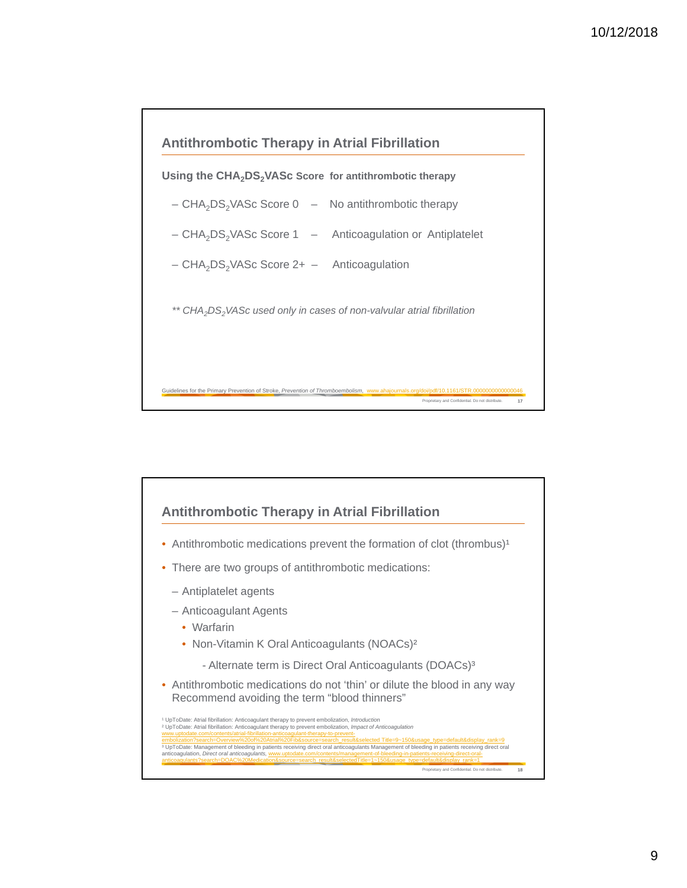

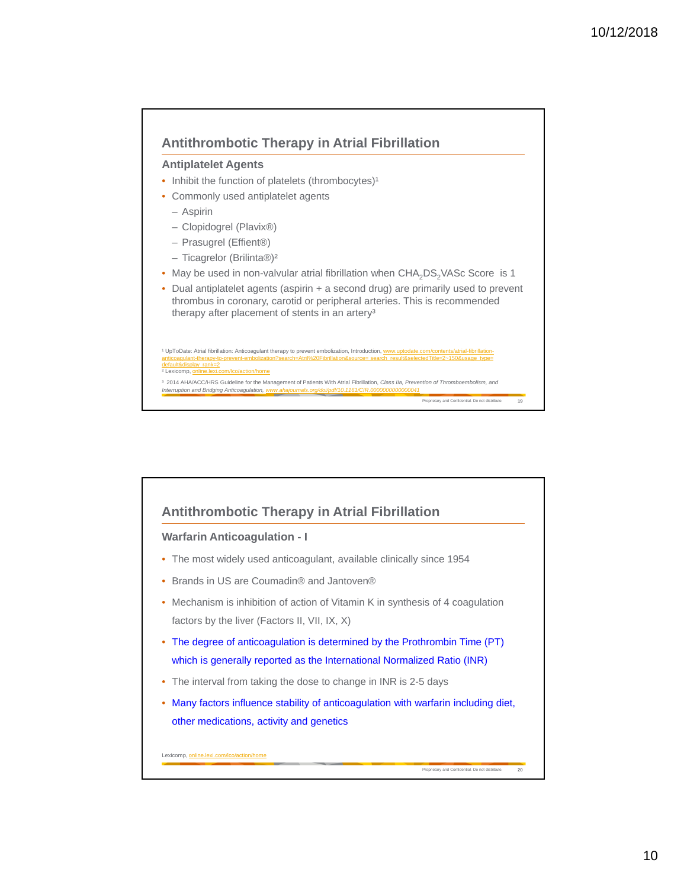

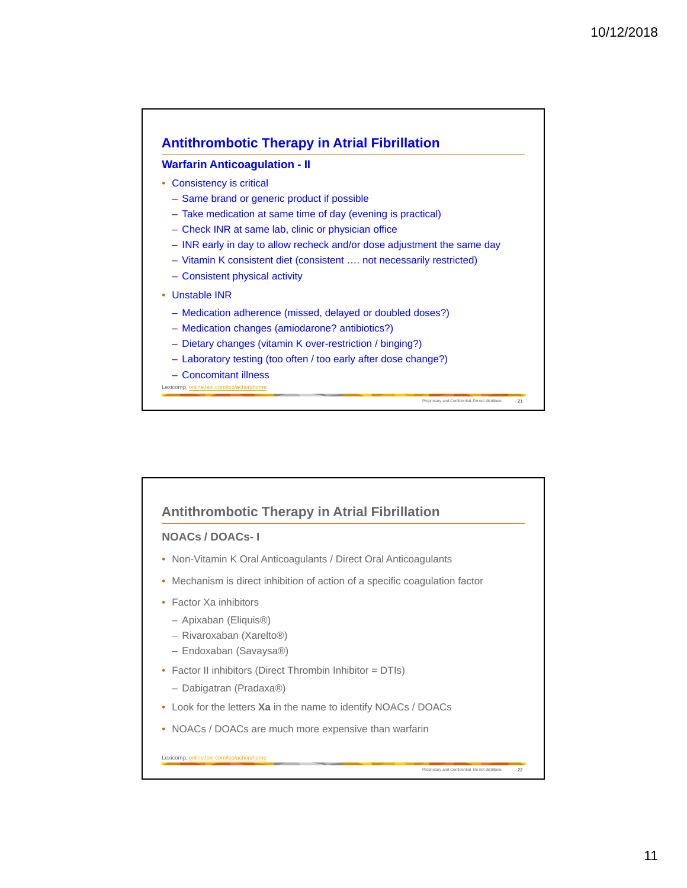

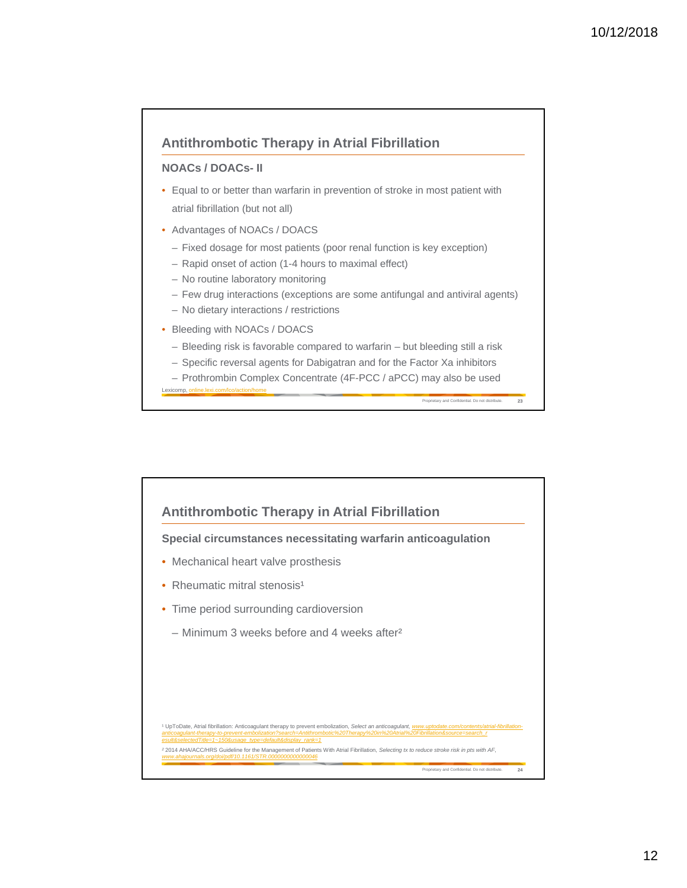

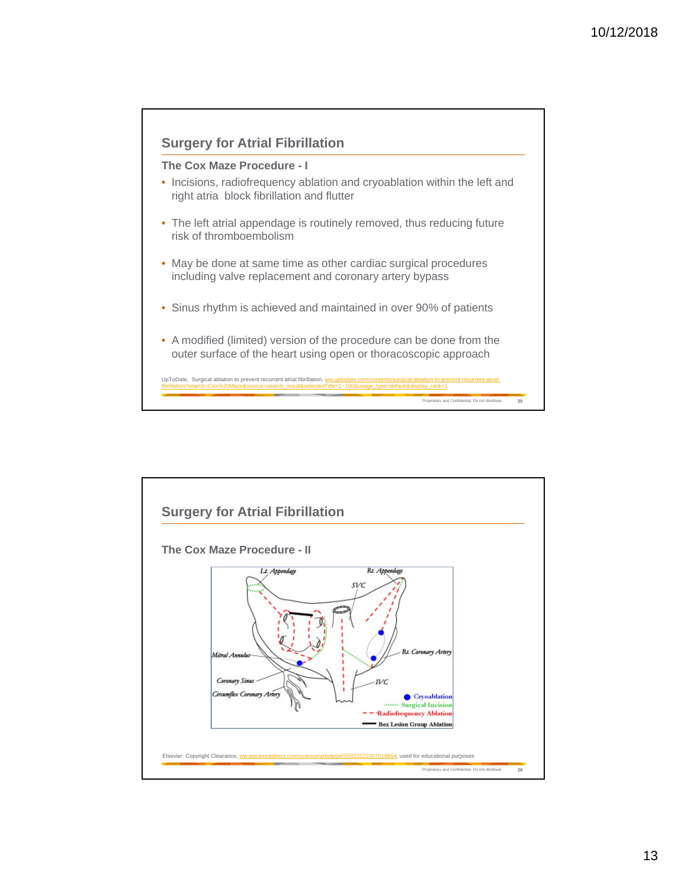

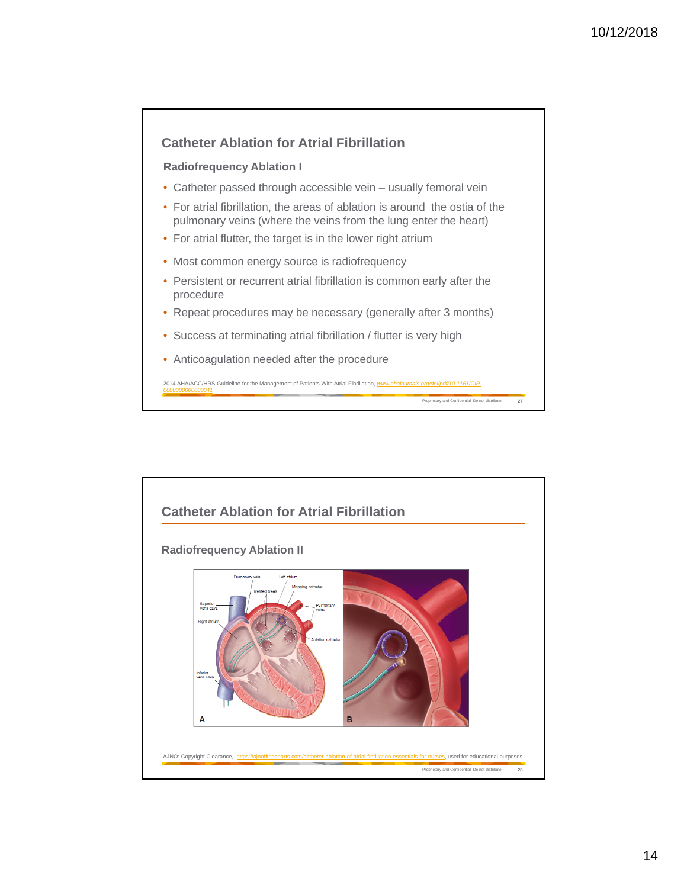

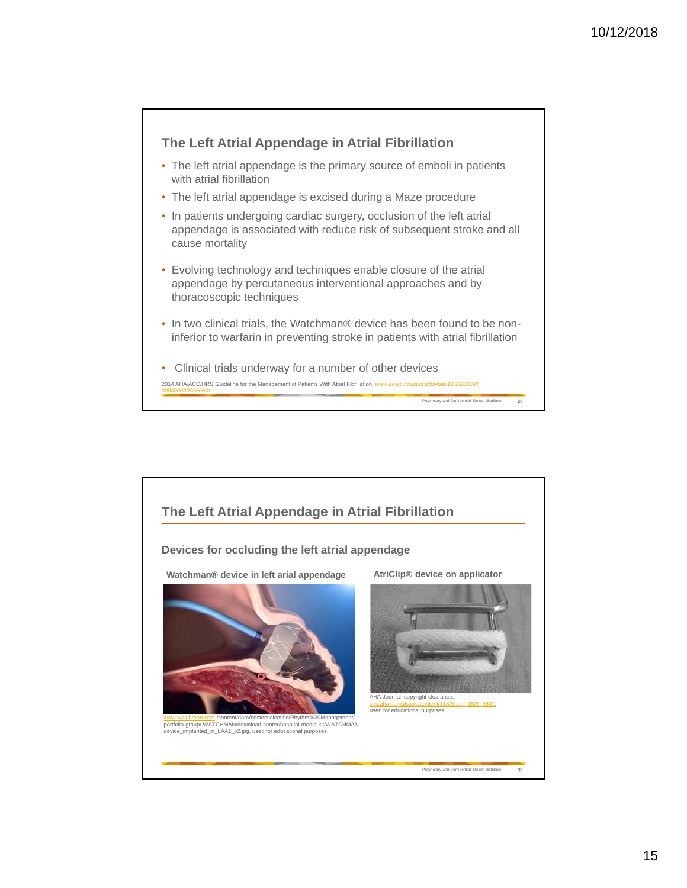

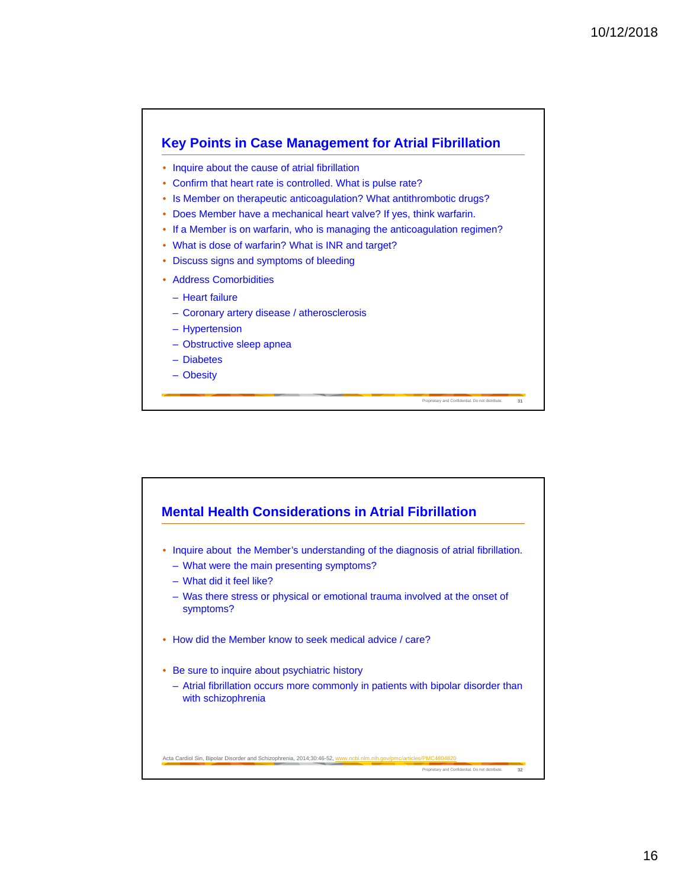

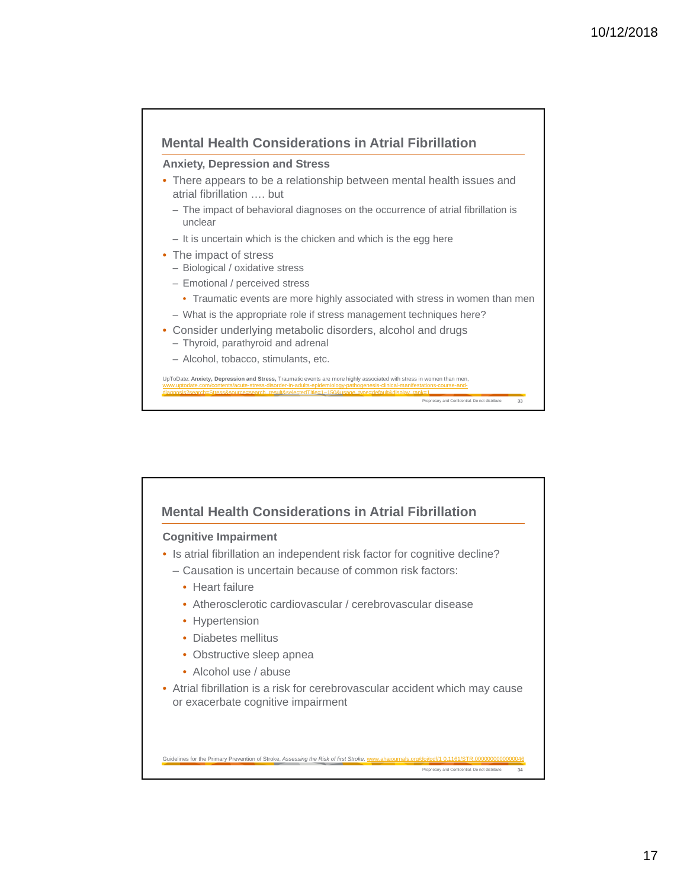

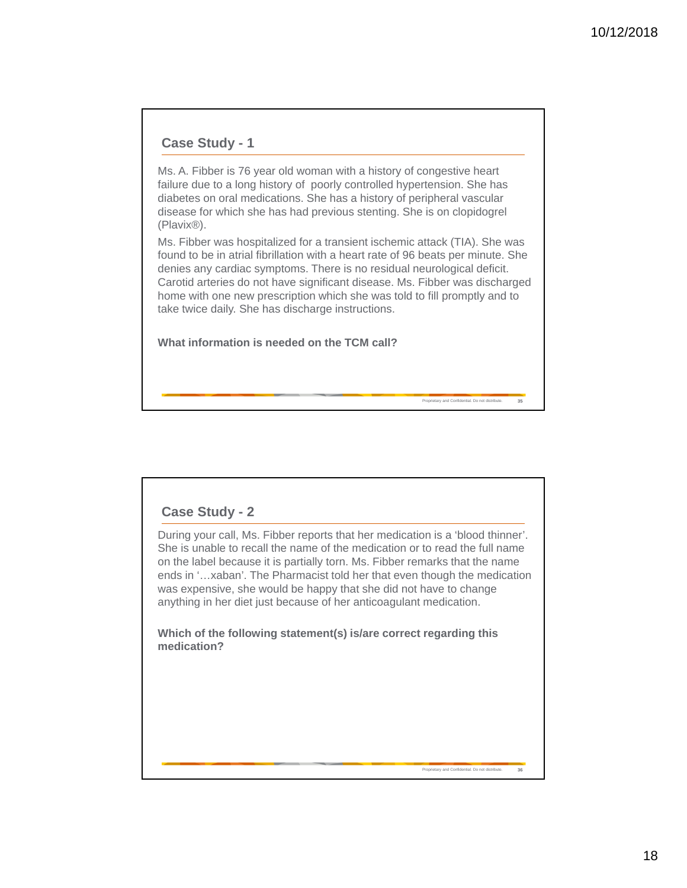#### **Case Study - 1**

Ms. A. Fibber is 76 year old woman with a history of congestive heart failure due to a long history of poorly controlled hypertension. She has diabetes on oral medications. She has a history of peripheral vascular disease for which she has had previous stenting. She is on clopidogrel (Plavix®).

Ms. Fibber was hospitalized for a transient ischemic attack (TIA). She was found to be in atrial fibrillation with a heart rate of 96 beats per minute. She denies any cardiac symptoms. There is no residual neurological deficit. Carotid arteries do not have significant disease. Ms. Fibber was discharged home with one new prescription which she was told to fill promptly and to take twice daily. She has discharge instructions.

Proprietary and Confidential. Do not distribute. **35**

**Prietary and Confidential. Do not distribute** 

**What information is needed on the TCM call?** 

### **Case Study - 2**

During your call, Ms. Fibber reports that her medication is a 'blood thinner'. She is unable to recall the name of the medication or to read the full name on the label because it is partially torn. Ms. Fibber remarks that the name ends in '…xaban'. The Pharmacist told her that even though the medication was expensive, she would be happy that she did not have to change anything in her diet just because of her anticoagulant medication.

**Which of the following statement(s) is/are correct regarding this medication?**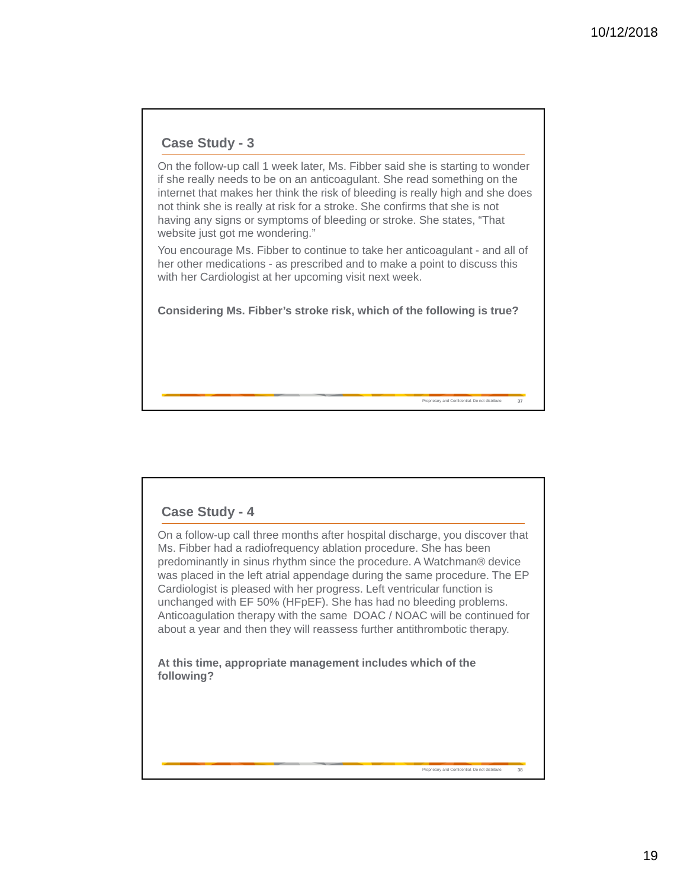## **Case Study - 3**

On the follow-up call 1 week later, Ms. Fibber said she is starting to wonder if she really needs to be on an anticoagulant. She read something on the internet that makes her think the risk of bleeding is really high and she does not think she is really at risk for a stroke. She confirms that she is not having any signs or symptoms of bleeding or stroke. She states, "That website just got me wondering."

You encourage Ms. Fibber to continue to take her anticoagulant - and all of her other medications - as prescribed and to make a point to discuss this with her Cardiologist at her upcoming visit next week.

**Considering Ms. Fibber's stroke risk, which of the following is true?**

Proprietary and Confidential. Do not distribute. **37**

Proprietary and Confidential. Do not distribute. **38**

### **Case Study - 4**

On a follow-up call three months after hospital discharge, you discover that Ms. Fibber had a radiofrequency ablation procedure. She has been predominantly in sinus rhythm since the procedure. A Watchman® device was placed in the left atrial appendage during the same procedure. The EP Cardiologist is pleased with her progress. Left ventricular function is unchanged with EF 50% (HFpEF). She has had no bleeding problems. Anticoagulation therapy with the same DOAC / NOAC will be continued for about a year and then they will reassess further antithrombotic therapy.

**At this time, appropriate management includes which of the following?**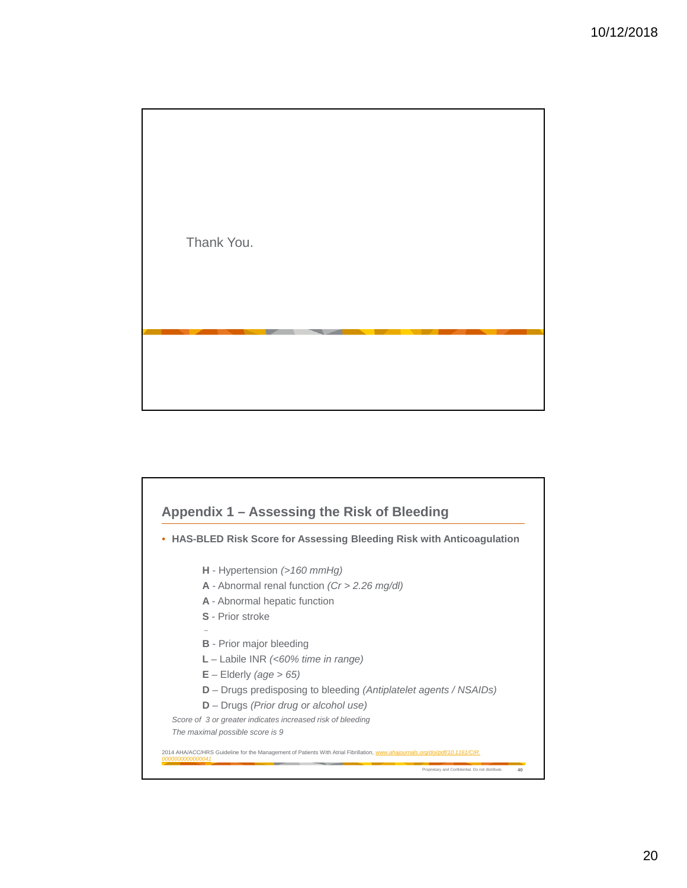Thank You.